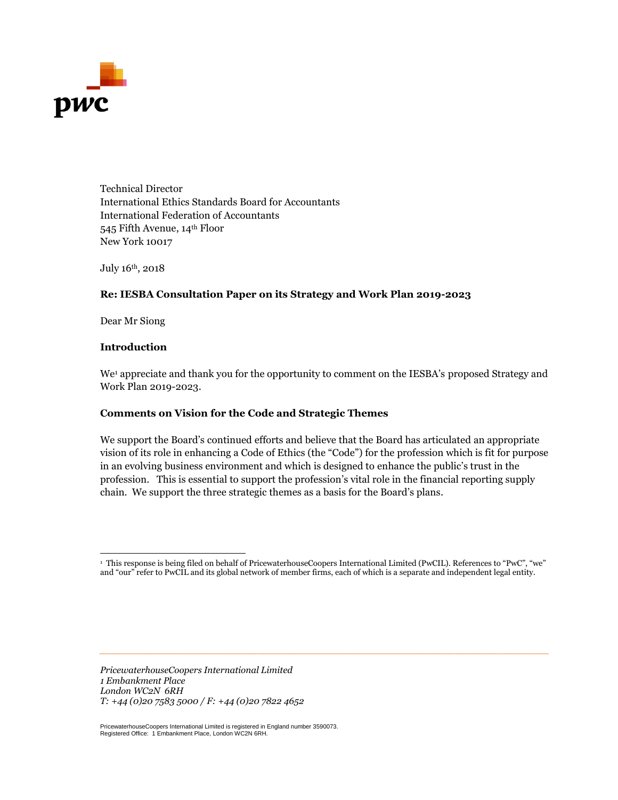

Technical Director International Ethics Standards Board for Accountants International Federation of Accountants 545 Fifth Avenue, 14th Floor New York 10017

July 16th, 2018

## **Re: IESBA Consultation Paper on its Strategy and Work Plan 2019-2023**

Dear Mr Siong

#### **Introduction**

We<sup>1</sup> appreciate and thank you for the opportunity to comment on the IESBA's proposed Strategy and Work Plan 2019-2023.

#### **Comments on Vision for the Code and Strategic Themes**

We support the Board's continued efforts and believe that the Board has articulated an appropriate vision of its role in enhancing a Code of Ethics (the "Code") for the profession which is fit for purpose in an evolving business environment and which is designed to enhance the public's trust in the profession. This is essential to support the profession's vital role in the financial reporting supply chain. We support the three strategic themes as a basis for the Board's plans.

*\_\_\_\_\_\_\_\_\_\_\_\_\_\_\_\_\_\_\_\_\_\_\_\_\_\_\_\_\_\_\_\_\_\_\_\_\_\_\_\_\_\_\_\_\_\_\_\_\_\_\_\_\_\_\_\_\_\_\_\_\_\_\_\_\_\_\_\_\_\_\_\_\_\_\_\_\_*

*PricewaterhouseCoopers International Limited 1 Embankment Place London WC2N 6RH T: +44 (0)20 7583 5000 / F: +44 (0)20 7822 4652*

PricewaterhouseCoopers International Limited is registered in England number 3590073. Registered Office: 1 Embankment Place, London WC2N 6RH.

 1 This response is being filed on behalf of PricewaterhouseCoopers International Limited (PwCIL). References to "PwC", "we" and "our" refer to PwCIL and its global network of member firms, each of which is a separate and independent legal entity.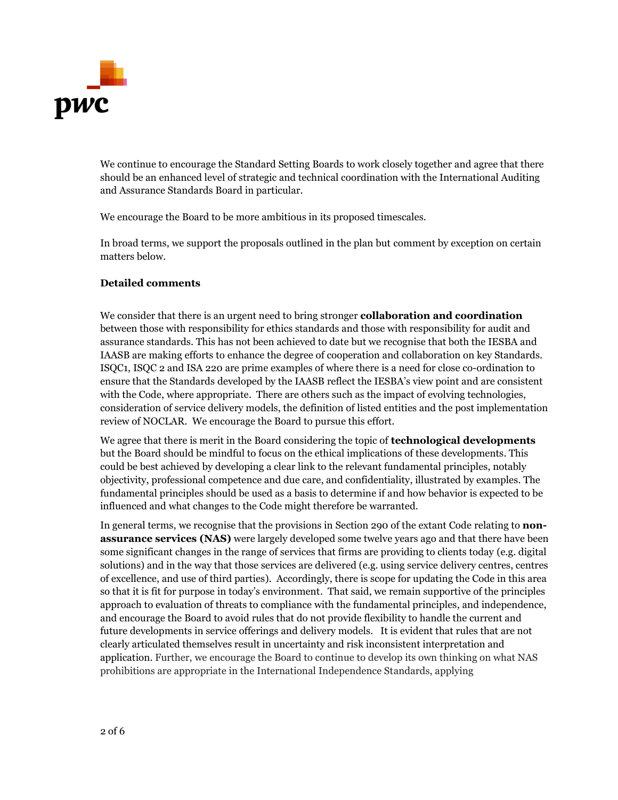

We continue to encourage the Standard Setting Boards to work closely together and agree that there should be an enhanced level of strategic and technical coordination with the International Auditing and Assurance Standards Board in particular.

We encourage the Board to be more ambitious in its proposed timescales.

In broad terms, we support the proposals outlined in the plan but comment by exception on certain matters below.

## **Detailed comments**

We consider that there is an urgent need to bring stronger **collaboration and coordination** between those with responsibility for ethics standards and those with responsibility for audit and assurance standards. This has not been achieved to date but we recognise that both the IESBA and IAASB are making efforts to enhance the degree of cooperation and collaboration on key Standards. ISQC1, ISQC 2 and ISA 220 are prime examples of where there is a need for close co-ordination to ensure that the Standards developed by the IAASB reflect the IESBA's view point and are consistent with the Code, where appropriate. There are others such as the impact of evolving technologies, consideration of service delivery models, the definition of listed entities and the post implementation review of NOCLAR. We encourage the Board to pursue this effort.

We agree that there is merit in the Board considering the topic of **technological developments** but the Board should be mindful to focus on the ethical implications of these developments. This could be best achieved by developing a clear link to the relevant fundamental principles, notably objectivity, professional competence and due care, and confidentiality, illustrated by examples. The fundamental principles should be used as a basis to determine if and how behavior is expected to be influenced and what changes to the Code might therefore be warranted.

In general terms, we recognise that the provisions in Section 290 of the extant Code relating to **nonassurance services (NAS)** were largely developed some twelve years ago and that there have been some significant changes in the range of services that firms are providing to clients today (e.g. digital solutions) and in the way that those services are delivered (e.g. using service delivery centres, centres of excellence, and use of third parties). Accordingly, there is scope for updating the Code in this area so that it is fit for purpose in today's environment. That said, we remain supportive of the principles approach to evaluation of threats to compliance with the fundamental principles, and independence, and encourage the Board to avoid rules that do not provide flexibility to handle the current and future developments in service offerings and delivery models. It is evident that rules that are not clearly articulated themselves result in uncertainty and risk inconsistent interpretation and application. Further, we encourage the Board to continue to develop its own thinking on what NAS prohibitions are appropriate in the International Independence Standards, applying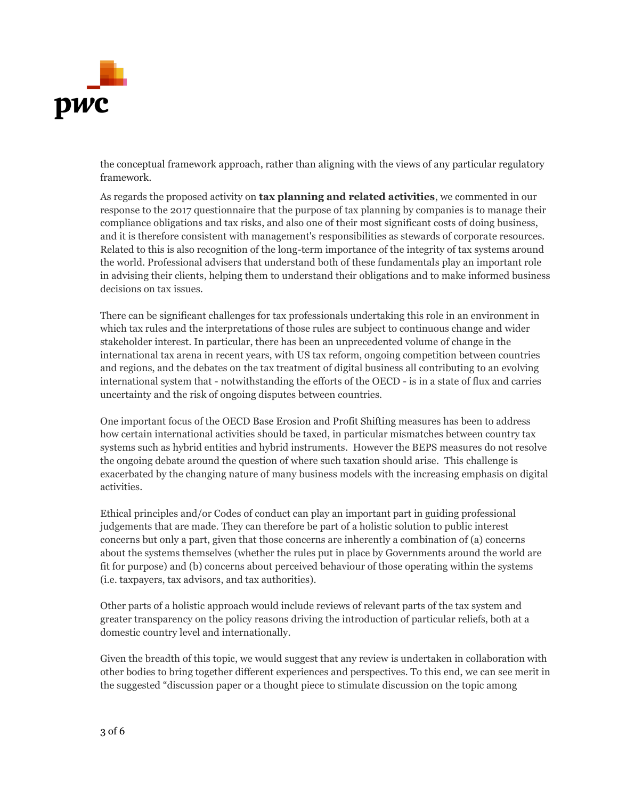

the conceptual framework approach, rather than aligning with the views of any particular regulatory framework.

As regards the proposed activity on **tax planning and related activities**, we commented in our response to the 2017 questionnaire that the purpose of tax planning by companies is to manage their compliance obligations and tax risks, and also one of their most significant costs of doing business, and it is therefore consistent with management's responsibilities as stewards of corporate resources. Related to this is also recognition of the long-term importance of the integrity of tax systems around the world. Professional advisers that understand both of these fundamentals play an important role in advising their clients, helping them to understand their obligations and to make informed business decisions on tax issues.

There can be significant challenges for tax professionals undertaking this role in an environment in which tax rules and the interpretations of those rules are subject to continuous change and wider stakeholder interest. In particular, there has been an unprecedented volume of change in the international tax arena in recent years, with US tax reform, ongoing competition between countries and regions, and the debates on the tax treatment of digital business all contributing to an evolving international system that - notwithstanding the efforts of the OECD - is in a state of flux and carries uncertainty and the risk of ongoing disputes between countries.

One important focus of the OECD Base Erosion and Profit Shifting measures has been to address how certain international activities should be taxed, in particular mismatches between country tax systems such as hybrid entities and hybrid instruments. However the BEPS measures do not resolve the ongoing debate around the question of where such taxation should arise. This challenge is exacerbated by the changing nature of many business models with the increasing emphasis on digital activities.

Ethical principles and/or Codes of conduct can play an important part in guiding professional judgements that are made. They can therefore be part of a holistic solution to public interest concerns but only a part, given that those concerns are inherently a combination of (a) concerns about the systems themselves (whether the rules put in place by Governments around the world are fit for purpose) and (b) concerns about perceived behaviour of those operating within the systems (i.e. taxpayers, tax advisors, and tax authorities).

Other parts of a holistic approach would include reviews of relevant parts of the tax system and greater transparency on the policy reasons driving the introduction of particular reliefs, both at a domestic country level and internationally.

Given the breadth of this topic, we would suggest that any review is undertaken in collaboration with other bodies to bring together different experiences and perspectives. To this end, we can see merit in the suggested "discussion paper or a thought piece to stimulate discussion on the topic among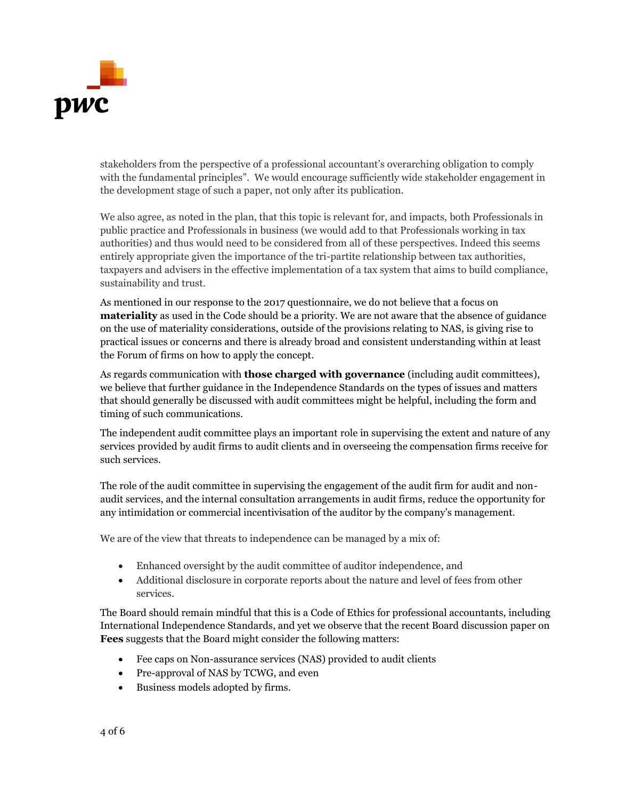

stakeholders from the perspective of a professional accountant's overarching obligation to comply with the fundamental principles". We would encourage sufficiently wide stakeholder engagement in the development stage of such a paper, not only after its publication.

We also agree, as noted in the plan, that this topic is relevant for, and impacts, both Professionals in public practice and Professionals in business (we would add to that Professionals working in tax authorities) and thus would need to be considered from all of these perspectives. Indeed this seems entirely appropriate given the importance of the tri-partite relationship between tax authorities, taxpayers and advisers in the effective implementation of a tax system that aims to build compliance, sustainability and trust.

As mentioned in our response to the 2017 questionnaire, we do not believe that a focus on **materiality** as used in the Code should be a priority. We are not aware that the absence of guidance on the use of materiality considerations, outside of the provisions relating to NAS, is giving rise to practical issues or concerns and there is already broad and consistent understanding within at least the Forum of firms on how to apply the concept.

As regards communication with **those charged with governance** (including audit committees), we believe that further guidance in the Independence Standards on the types of issues and matters that should generally be discussed with audit committees might be helpful, including the form and timing of such communications.

The independent audit committee plays an important role in supervising the extent and nature of any services provided by audit firms to audit clients and in overseeing the compensation firms receive for such services.

The role of the audit committee in supervising the engagement of the audit firm for audit and nonaudit services, and the internal consultation arrangements in audit firms, reduce the opportunity for any intimidation or commercial incentivisation of the auditor by the company's management.

We are of the view that threats to independence can be managed by a mix of:

- Enhanced oversight by the audit committee of auditor independence, and
- Additional disclosure in corporate reports about the nature and level of fees from other services.

The Board should remain mindful that this is a Code of Ethics for professional accountants, including International Independence Standards, and yet we observe that the recent Board discussion paper on **Fees** suggests that the Board might consider the following matters:

- Fee caps on Non-assurance services (NAS) provided to audit clients
- Pre-approval of NAS by TCWG, and even
- Business models adopted by firms.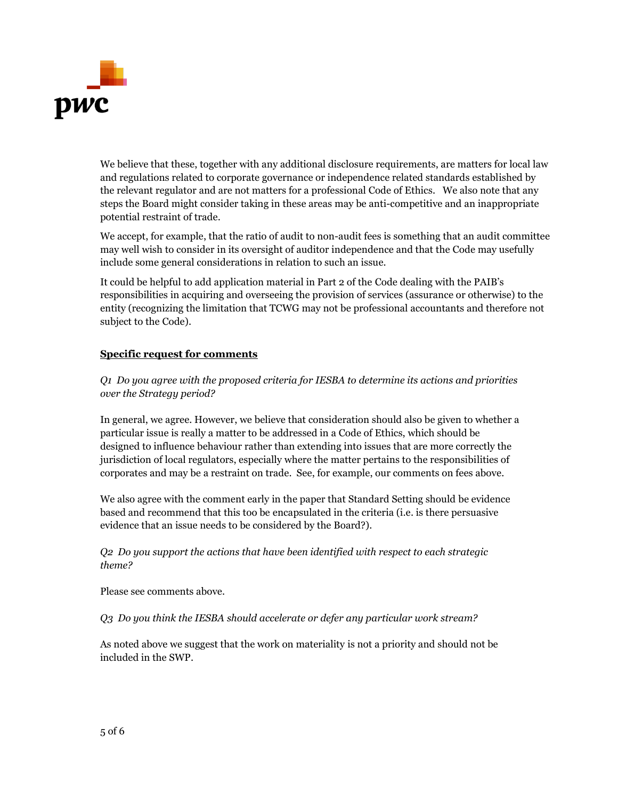

We believe that these, together with any additional disclosure requirements, are matters for local law and regulations related to corporate governance or independence related standards established by the relevant regulator and are not matters for a professional Code of Ethics. We also note that any steps the Board might consider taking in these areas may be anti-competitive and an inappropriate potential restraint of trade.

We accept, for example, that the ratio of audit to non-audit fees is something that an audit committee may well wish to consider in its oversight of auditor independence and that the Code may usefully include some general considerations in relation to such an issue.

It could be helpful to add application material in Part 2 of the Code dealing with the PAIB's responsibilities in acquiring and overseeing the provision of services (assurance or otherwise) to the entity (recognizing the limitation that TCWG may not be professional accountants and therefore not subject to the Code).

# **Specific request for comments**

*Q1 Do you agree with the proposed criteria for IESBA to determine its actions and priorities over the Strategy period?*

In general, we agree. However, we believe that consideration should also be given to whether a particular issue is really a matter to be addressed in a Code of Ethics, which should be designed to influence behaviour rather than extending into issues that are more correctly the jurisdiction of local regulators, especially where the matter pertains to the responsibilities of corporates and may be a restraint on trade. See, for example, our comments on fees above.

We also agree with the comment early in the paper that Standard Setting should be evidence based and recommend that this too be encapsulated in the criteria (i.e. is there persuasive evidence that an issue needs to be considered by the Board?).

*Q2 Do you support the actions that have been identified with respect to each strategic theme?*

Please see comments above.

*Q3 Do you think the IESBA should accelerate or defer any particular work stream?*

As noted above we suggest that the work on materiality is not a priority and should not be included in the SWP.